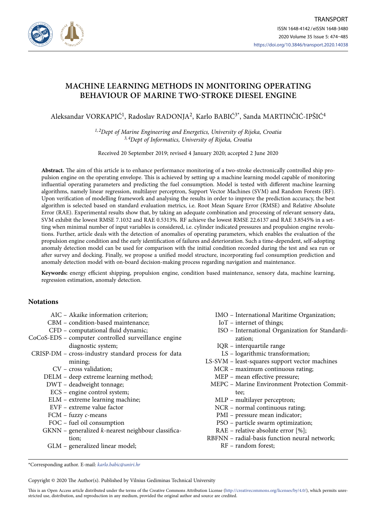

# **MACHINE LEARNING METHODS IN MONITORING OPERATING BEHAVIOUR OF MARINE TWO-STROKE DIESEL ENGINE**

Aleksandar VORKAPIĆ1, Radoslav RADONJA2, Karlo BABIĆ3\*, Sanda MARTINČIĆ-IPŠIĆ4

*1, 2Dept of Marine Engineering and Energetics, University of Rijeka, Croatia 3, 4Dept of Informatics, University of Rijeka, Croatia*

Received 20 September 2019; revised 4 January 2020; accepted 2 June 2020

**Abstract.** The aim of this article is to enhance performance monitoring of a two-stroke electronically controlled ship propulsion engine on the operating envelope. This is achieved by setting up a machine learning model capable of monitoring influential operating parameters and predicting the fuel consumption. Model is tested with different machine learning algorithms, namely linear regression, multilayer perceptron, Support Vector Machines (SVM) and Random Forests (RF). Upon verification of modelling framework and analysing the results in order to improve the prediction accuracy, the best algorithm is selected based on standard evaluation metrics, i.e. Root Mean Square Error (RMSE) and Relative Absolute Error (RAE). Experimental results show that, by taking an adequate combination and processing of relevant sensory data, SVM exhibit the lowest RMSE 7.1032 and RAE 0.5313%. RF achieve the lowest RMSE 22.6137 and RAE 3.8545% in a setting when minimal number of input variables is considered, i.e. cylinder indicated pressures and propulsion engine revolutions. Further, article deals with the detection of anomalies of operating parameters, which enables the evaluation of the propulsion engine condition and the early identification of failures and deterioration. Such a time-dependent, self-adopting anomaly detection model can be used for comparison with the initial condition recorded during the test and sea run or after survey and docking. Finally, we propose a unified model structure, incorporating fuel consumption prediction and anomaly detection model with on-board decision-making process regarding navigation and maintenance.

**Keywords:** energy efficient shipping, propulsion engine, condition based maintenance, sensory data, machine learning, regression estimation, anomaly detection.

# **Notations**

- AIC Akaike information criterion;
- CBM condition-based maintenance;
- CFD computational fluid dynamic;
- CoCoS-EDS computer controlled surveillance engine diagnostic system;
- CRISP-DM cross-industry standard process for data mining;
	- CV cross validation;
	- DELM deep extreme learning method;
	- DWT deadweight tonnage;
	- ECS engine control system;
	- ELM extreme learning machine;
	- EVF extreme value factor
	- FCM fuzzy *c*-means
	- FOC fuel oil consumption
	- GKNN generalized *k*-nearest neighbour classification;
		- GLM generalized linear model;
- IMO International Maritime Organization;
	- IoT internet of things;
- ISO International Organization for Standardization;
- IQR interquartile range
- LS logarithmic transformation;
- LS-SVM least-squares support vector machines
	- MCR maximum continuous rating;
		- MEP mean effective pressure;
	- MEPC Marine Environment Protection Committee;
		- MLP multilayer perceptron;
		- NCR normal continuous rating;
		- PMI pressure mean indicator;
		- PSO particle swarm optimization;
		- RAE relative absolute error [%];
- RBFNN radial-basis function neural network; RF – random forest;

\*Corresponding author. E-mail: *[karlo.babic@uniri.hr](mailto:karlo.babic@uniri.hr)*

Copyright © 2020 The Author(s). Published by Vilnius Gediminas Technical University

This is an Open Access article distributed under the terms of the Creative Commons Attribution License [\(http://creativecommons.org/licenses/by/4.0/](http://creativecommons.org/licenses/by/4.0/)), which permits unrestricted use, distribution, and reproduction in any medium, provided the original author and source are credited.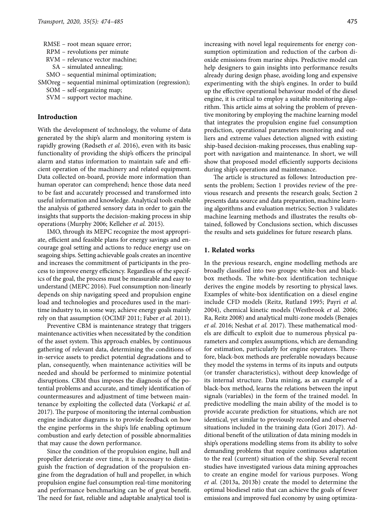- RPM revolutions per minute
- RVM relevance vector machine;
- SA simulated annealing;
- SMO sequential minimal optimization;
- SMOreg sequential minimal optimization (regression);
	- SOM self-organizing map;
	- SVM support vector machine.

#### **Introduction**

With the development of technology, the volume of data generated by the ship's alarm and monitoring system is rapidly growing (Rødseth *et al.* 2016), even with its basic functionality of providing the ship's officers the principal alarm and status information to maintain safe and efficient operation of the machinery and related equipment. Data collected on-board, provide more information than human operator can comprehend; hence those data need to be fast and accurately processed and transformed into useful information and knowledge. Analytical tools enable the analysis of gathered sensory data in order to gain the insights that supports the decision-making process in ship operations (Murphy 2006; Kelleher *et al.* 2015).

IMO, through its MEPC recognize the most appropriate, efficient and feasible plans for energy savings and encourage goal setting and actions to reduce energy use on seagoing ships. Setting achievable goals creates an incentive and increases the commitment of participants in the process to improve energy efficiency. Regardless of the specifics of the goal, the process must be measurable and easy to understand (MEPC 2016). Fuel consumption non-linearly depends on ship navigating speed and propulsion engine load and technologies and procedures used in the maritime industry to, in some way, achieve energy goals mainly rely on that assumption (OCIMF 2011; Faber *et al.* 2011).

Preventive CBM is maintenance strategy that triggers maintenance activities when necessitated by the condition of the asset system. This approach enables, by continuous gathering of relevant data, determining the conditions of in-service assets to predict potential degradations and to plan, consequently, when maintenance activities will be needed and should be performed to minimize potential disruptions. CBM thus imposes the diagnosis of the potential problems and accurate, and timely identification of countermeasures and adjustment of time between maintenance by exploiting the collected data (Vorkapić *et al.*  2017). The purpose of monitoring the internal combustion engine indicator diagrams is to provide feedback on how the engine performs in the ship's life enabling optimum combustion and early detection of possible abnormalities that may cause the down performance.

Since the condition of the propulsion engine, hull and propeller deteriorate over time, it is necessary to distinguish the fraction of degradation of the propulsion engine from the degradation of hull and propeller, in which propulsion engine fuel consumption real-time monitoring and performance benchmarking can be of great benefit. The need for fast, reliable and adaptable analytical tool is increasing with novel legal requirements for energy consumption optimization and reduction of the carbon dioxide emissions from marine ships. Predictive model can help designers to gain insights into performance results already during design phase, avoiding long and expensive experimenting with the ship's engines. In order to build up the effective operational behaviour model of the diesel engine, it is critical to employ a suitable monitoring algorithm. This article aims at solving the problem of preventive monitoring by employing the machine learning model that integrates the propulsion engine fuel consumption prediction, operational parameters monitoring and outliers and extreme values detection aligned with existing ship-based decision-making processes, thus enabling support with navigation and maintenance. In short, we will show that proposed model efficiently supports decisions during ship's operations and maintenance.

The article is structured as follows: Introduction presents the problem; Section 1 provides review of the previous research and presents the research goals; Section 2 presents data source and data preparation, machine learning algorithms and evaluation metrics; Section 3 validates machine learning methods and illustrates the results obtained, followed by Conclusions section, which discusses the results and sets guidelines for future research plans.

## **1. Related works**

In the previous research, engine modelling methods are broadly classified into two groups: white-box and blackbox methods. The white-box identification technique derives the engine models by resorting to physical laws. Examples of white-box identification on a diesel engine include CFD models (Reitz, Rutland 1995; Payri *et al.*  2004), chemical kinetic models (Westbrook *et al.* 2006; Ra, Reitz 2008) and analytical multi-zone models (Benajes *et al.* 2016; Neshat *et al.* 2017). These mathematical models are difficult to exploit due to numerous physical parameters and complex assumptions, which are demanding for estimation, particularly for engine operators. Therefore, black-box methods are preferable nowadays because they model the systems in terms of its inputs and outputs (or transfer characteristics), without deep knowledge of its internal structure. Data mining, as an example of a black-box method, learns the relations between the input signals (variables) in the form of the trained model. In predictive modelling the main ability of the model is to provide accurate prediction for situations, which are not identical, yet similar to previously recorded and observed situations included in the training data (Gori 2017). Additional benefit of the utilization of data mining models in ship's operations modelling stems from its ability to solve demanding problems that require continuous adaptation to the real (current) situation of the ship. Several recent studies have investigated various data mining approaches to create an engine model for various purposes. Wong *et al.* (2013a, 2013b) create the model to determine the optimal biodiesel ratio that can achieve the goals of fewer emissions and improved fuel economy by using optimiza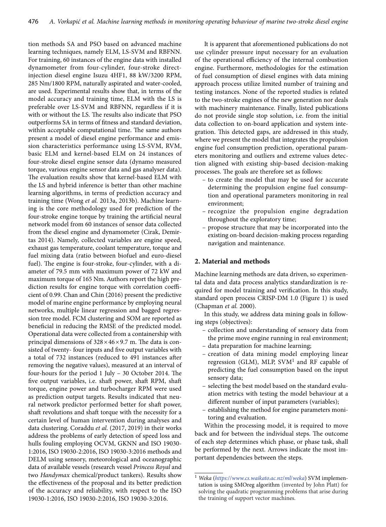tion methods SA and PSO based on advanced machine learning techniques, namely ELM, LS-SVM and RBFNN. For training, 60 instances of the engine data with installed dynamometer from four-cylinder, four-stroke directinjection diesel engine Isuzu 4HF1, 88 kW/3200 RPM, 285 Nm/1800 RPM, naturally aspirated and water-cooled, are used. Experimental results show that, in terms of the model accuracy and training time, ELM with the LS is preferable over LS-SVM and RBFNN, regardless if it is with or without the LS. The results also indicate that PSO outperforms SA in terms of fitness and standard deviation, within acceptable computational time. The same authors present a model of diesel engine performance and emission characteristics performance using LS-SVM, RVM, basic ELM and kernel-based ELM on 24 instances of four-stroke diesel engine sensor data (dynamo measured torque, various engine sensor data and gas analyser data). The evaluation results show that kernel-based ELM with the LS and hybrid inference is better than other machine learning algorithms, in terms of prediction accuracy and training time (Wong *et al.* 2013a, 2013b). Machine learning is the core methodology used for prediction of the four-stroke engine torque by training the artificial neural network model from 60 instances of sensor data collected from the diesel engine and dynamometer (Cirak, Demirtas 2014). Namely, collected variables are engine speed, exhaust gas temperature, coolant temperature, torque and fuel mixing data (ratio between biofuel and euro-diesel fuel). The engine is four-stroke, four-cylinder, with a diameter of 79.5 mm with maximum power of 72 kW and maximum torque of 165 Nm. Authors report the high prediction results for engine torque with correlation coefficient of 0.99. Chan and Chin (2016) present the predictive model of marine engine performance by employing neural networks, multiple linear regression and bagged regression tree model. FCM clustering and SOM are reported as beneficial in reducing the RMSE of the predicted model. Operational data were collected from a containership with principal dimensions of  $328 \times 46 \times 9.7$  m. The data is consisted of twenty- four inputs and five output variables with a total of 732 instances (reduced to 491 instances after removing the negative values), measured at an interval of four-hours for the period 1 July – 30 October 2014. The five output variables, i.e. shaft power, shaft RPM, shaft torque, engine power and turbocharger RPM were used as prediction output targets. Results indicated that neural network predictor performed better for shaft power, shaft revolutions and shaft torque with the necessity for a certain level of human intervention during analyses and data clustering. Coraddu *et al.* (2017, 2019) in their works address the problems of early detection of speed loss and hulls fouling employing OCVM, GKNN and ISO 19030- 1:2016, ISO 19030-2:2016, ISO 19030-3:2016 methods and DELM using sensory, meteorological and oceanographic data of available vessels (research vessel *Princess Royal* and two *Handymax* chemical/product tankers). Results show the effectiveness of the proposal and its better prediction of the accuracy and reliability, with respect to the ISO 19030-1:2016, ISO 19030-2:2016, ISO 19030-3:2016.

It is apparent that aforementioned publications do not use cylinder pressure input necessary for an evaluation of the operational efficiency of the internal combustion engine. Furthermore, methodologies for the estimation of fuel consumption of diesel engines with data mining approach process utilize limited number of training and testing instances. None of the reported studies is related to the two-stroke engines of the new generation nor deals with machinery maintenance. Finally, listed publications do not provide single stop solution, i.e. from the initial data collection to on-board application and system integration. This detected gaps, are addressed in this study, where we present the model that integrates the propulsion engine fuel consumption prediction, operational parameters monitoring and outliers and extreme values detection aligned with existing ship-based decision-making processes. The goals are therefore set as follows:

- to create the model that may be used for accurate determining the propulsion engine fuel consumption and operational parameters monitoring in real environment;
- recognize the propulsion engine degradation throughout the exploratory time;
- propose structure that may be incorporated into the existing on-board decision-making process regarding navigation and maintenance.

## **2. Material and methods**

Machine learning methods are data driven, so experimental data and data process analytics standardization is required for model training and verification. In this study, standard open process CRISP-DM 1.0 (Figure 1) is used (Chapman *et al.* 2000).

In this study, we address data mining goals in following steps (objectives):

- collection and understanding of sensory data from the prime move engine running in real environment;
- data preparation for machine learning;
- creation of data mining model employing linear regression (GLM), MLP, SVM1 and RF capable of predicting the fuel consumption based on the input sensory data;
- selecting the best model based on the standard evaluation metrics with testing the model behaviour at a different number of input parameters (variables);
- establishing the method for engine parameters monitoring and evaluation.

Within the processing model, it is required to move back and for between the individual steps. The outcome of each step determines which phase, or phase task, shall be performed by the next. Arrows indicate the most important dependencies between the steps.

<sup>1</sup> *Weka* (*https:*//*[www.cs.waikato.ac.nz](https://www.cs.waikato.ac.nz/ml/weka)*/*ml*/*weka*) SVM implementation is using SMOreg algorithm (invented by John Platt) for solving the quadratic programming problems that arise during the training of support vector machines.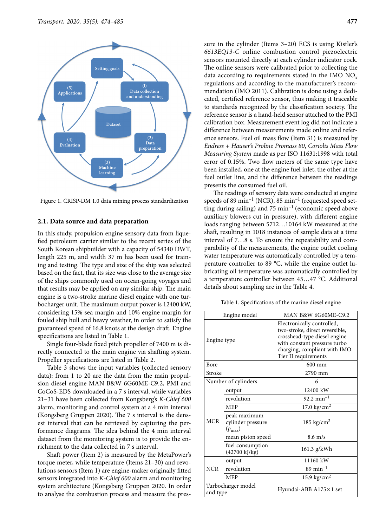

Figure 1. CRISP-DM 1.0 data mining process standardization

#### **2.1. Data source and data preparation**

In this study, propulsion engine sensory data from liquefied petroleum carrier similar to the recent series of the South Korean shipbuilder with a capacity of 54340 DWT, length 225 m, and width 37 m has been used for training and testing. The type and size of the ship was selected based on the fact, that its size was close to the average size of the ships commonly used on ocean-going voyages and that results may be applied on any similar ship. The main engine is a two-stroke marine diesel engine with one turbocharger unit. The maximum output power is 12400 kW, considering 15% sea margin and 10% engine margin for fouled ship hull and heavy weather, in order to satisfy the guaranteed speed of 16.8 knots at the design draft. Engine specifications are listed in Table 1.

Single four-blade fixed pitch propeller of 7400 m is directly connected to the main engine via shafting system. Propeller specifications are listed in Table 2.

Table 3 shows the input variables (collected sensory data): from 1 to 20 are the data from the main propulsion diesel engine MAN B&W 6G60ME-C9.2, PMI and CoCoS-EDS downloaded in a 7 s interval, while variables 21–31 have been collected from Kongsberg's *K-Chief 600* alarm, monitoring and control system at a 4 min interval (Kongsberg Gruppen 2020). The 7 s interval is the densest interval that can be retrieved by capturing the performance diagrams. The idea behind the 4 min interval dataset from the monitoring system is to provide the enrichment to the data collected in 7 s interval.

Shaft power (Item 2) is measured by the MetaPower's torque meter, while temperature (Items 21–30) and revolutions sensors (Item 1) are engine-maker originally fitted sensors integrated into *K-Chief 600* alarm and monitoring system architecture (Kongsberg Gruppen 2020. In order to analyse the combustion process and measure the pres-

sure in the cylinder (Items 3–20) ECS is using Kistler's *6613EQ13-C* online combustion control piezoelectric sensors mounted directly at each cylinder indicator cock. The online sensors were calibrated prior to collecting the data according to requirements stated in the IMO  $NO<sub>v</sub>$ regulations and according to the manufacturer's recommendation (IMO 2011). Calibration is done using a dedicated, certified reference sensor, thus making it traceable to standards recognized by the classification society. The reference sensor is a hand-held sensor attached to the PMI calibration box. Measurement event log did not indicate a difference between measurements made online and reference sensors. Fuel oil mass flow (Item 31) is measured by *Endress + Hauser's Proline Promass 80*, *Coriolis Mass Flow Measuring System* made as per ISO 11631:1998 with total error of 0.15%. Two flow meters of the same type have been installed, one at the engine fuel inlet, the other at the fuel outlet line, and the difference between the readings presents the consumed fuel oil.

The readings of sensory data were conducted at engine speeds of 89 min<sup>-1</sup> (NCR), 85 min<sup>-1</sup> (requested speed setting during sailing) and  $75 \text{ min}^{-1}$  (economic speed above auxiliary blowers cut in pressure), with different engine loads ranging between 5712…10164 kW measured at the shaft, resulting in 1018 instances of sample data at a time interval of 7…8 s. To ensure the repeatability and comparability of the measurements, the engine outlet cooling water temperature was automatically controlled by a temperature controller to 89 °C, while the engine outlet lubricating oil temperature was automatically controlled by a temperature controller between 45…47 °C. Additional details about sampling are in the Table 4.

Table 1. Specifications of the marine diesel engine

| Engine model                   |                                                         | MAN B&W 6G60ME-C9.2                                                                                                                                                                  |  |  |
|--------------------------------|---------------------------------------------------------|--------------------------------------------------------------------------------------------------------------------------------------------------------------------------------------|--|--|
| Engine type                    |                                                         | Electronically controlled,<br>two-stroke, direct reversible,<br>crosshead-type diesel engine<br>with constant pressure turbo<br>charging, compliant with IMO<br>Tier II requirements |  |  |
| Bore                           |                                                         | $600 \text{ mm}$                                                                                                                                                                     |  |  |
| Stroke                         |                                                         | 2790 mm                                                                                                                                                                              |  |  |
|                                | Number of cylinders                                     | 6                                                                                                                                                                                    |  |  |
|                                | output                                                  | 12400 kW                                                                                                                                                                             |  |  |
|                                | revolution                                              | $92.2 \text{ min}^{-1}$                                                                                                                                                              |  |  |
|                                | <b>MEP</b>                                              | 17.0 $\text{kg/cm}^2$                                                                                                                                                                |  |  |
| <b>MCR</b>                     | peak maximum<br>cylinder pressure<br>$(p_{\text{max}})$ | 185 kg/cm <sup>2</sup>                                                                                                                                                               |  |  |
|                                | mean piston speed                                       | $8.6$ m/s                                                                                                                                                                            |  |  |
|                                | fuel consumption<br>(42700 kJ/kg)                       | 161.3 g/kWh                                                                                                                                                                          |  |  |
|                                | output                                                  | 11160 kW                                                                                                                                                                             |  |  |
| <b>NCR</b>                     | revolution                                              | $89 \text{ min}^{-1}$                                                                                                                                                                |  |  |
|                                | <b>MEP</b>                                              | 15.9 kg/cm <sup>2</sup>                                                                                                                                                              |  |  |
| Turbocharger model<br>and type |                                                         | Hyundai-ABB A175 × 1 set                                                                                                                                                             |  |  |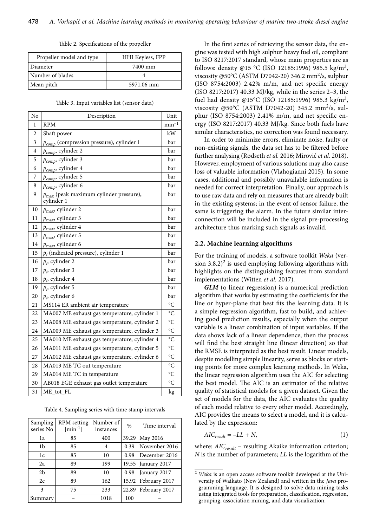| Table 2. Specifications of the propeller |  |  |
|------------------------------------------|--|--|
|------------------------------------------|--|--|

| Propeller model and type | <b>HHI Keyless, FPP</b> |  |  |
|--------------------------|-------------------------|--|--|
| Diameter                 | 7400 mm                 |  |  |
| Number of blades         |                         |  |  |
| Mean pitch               | 5971.06 mm              |  |  |

| Table 3. Input variables list (sensor data) |  |  |  |
|---------------------------------------------|--|--|--|
|---------------------------------------------|--|--|--|

| No | Description                                                      | Unit                 |
|----|------------------------------------------------------------------|----------------------|
| 1  | <b>RPM</b>                                                       | $min^{-1}$           |
| 2  | Shaft power                                                      | kW                   |
| 3  | $p_{comp}$ (compression pressure), cylinder 1                    | bar                  |
| 4  | $p_{comp}$ , cylinder 2                                          | bar                  |
| 5  | P <sub>comp</sub> , cylinder 3                                   | bar                  |
| 6  | $p_{comp}$ , cylinder 4                                          | bar                  |
| 7  | $p_{comp}$ , cylinder 5                                          | bar                  |
| 8  | $p_{comp}$ , cylinder 6                                          | bar                  |
| 9  | $p_{\text{max}}$ (peak maximum cylinder pressure),<br>cylinder 1 | bar                  |
| 10 | $p_{\text{max}}$ , cylinder 2                                    | bar                  |
| 11 | $p_{\text{max}}$ , cylinder 3                                    | bar                  |
| 12 | $p_{\rm max}$ cylinder 4                                         | bar                  |
| 13 | $p_{\text{max}}$ , cylinder 5                                    | bar                  |
| 14 | $p_{\text{max}}$ , cylinder 6                                    | bar                  |
| 15 | $p_i$ (indicated pressure), cylinder 1                           | bar                  |
| 16 | $p_i$ , cylinder 2                                               | bar                  |
| 17 | $p_i$ , cylinder 3                                               | bar                  |
| 18 | $p_i$ , cylinder 4                                               | bar                  |
| 19 | $p_i$ , cylinder 5                                               | bar                  |
| 20 | $p_i$ , cylinder 6                                               | bar                  |
| 21 | MS114 ER ambient air temperature                                 | °C                   |
| 22 | MA007 ME exhaust gas temperature, cylinder 1                     | $\overline{\circ}$ C |
| 23 | MA008 ME exhaust gas temperature, cylinder 2                     | $\rm ^{\circ}C$      |
| 24 | MA009 ME exhaust gas temperature, cylinder 3                     | $\rm ^{\circ}C$      |
| 25 | MA010 ME exhaust gas temperature, cylinder 4                     | $\rm ^{\circ}C$      |
| 26 | MA011 ME exhaust gas temperature, cylinder 5                     | $\rm ^{\circ}C$      |
| 27 | MA012 ME exhaust gas temperature, cylinder 6                     | °C                   |
| 28 | MA013 ME TC out temperature                                      | $\rm ^{\circ}C$      |
| 29 | MA014 ME TC in temperature                                       | $\bar{\circ}$ C      |
| 30 | AB018 EGE exhaust gas outlet temperature                         | °C                   |
| 31 | ME_tot_FL                                                        | kg                   |

Table 4. Sampling series with time stamp intervals

| Sampling<br>series No | <b>RPM</b> setting<br>${\rm [min^{-1}]}$ | Number of<br>instances | %     | Time interval |
|-----------------------|------------------------------------------|------------------------|-------|---------------|
| 1a                    | 85                                       | 400                    | 39.29 | May 2016      |
| 1b                    | 85                                       | 4                      | 0.39  | November 2016 |
| 1c                    | 85                                       | 10                     | 0.98  | December 2016 |
| 2a                    | 89                                       | 199                    | 19.55 | January 2017  |
| 2 <sub>b</sub>        | 89                                       | 10                     | 0.98  | January 2017  |
| 2c                    | 89                                       | 162                    | 15.92 | February 2017 |
| 3                     | 75                                       | 233                    | 22.89 | February 2017 |
| Summary               |                                          | 1018                   | 100   |               |

In the first series of retrieving the sensor data, the engine was tested with high sulphur heavy fuel oil, compliant to ISO 8217:2017 standard, whose main properties are as follows: density @15 °C (ISO 12185:1996) 985.5  $\text{kg/m}^3$ , viscosity @50°C (ASTM D7042-20) 346.2 mm<sup>2</sup>/s, sulphur (ISO 8754:2003) 2.42% m/m, and net specific energy (ISO 8217:2017) 40.33 MJ/kg, while in the series 2–3, the fuel had density @15°C (ISO 12185:1996) 985.3  $\text{kg/m}^3$ , viscosity @50°C (ASTM D7042-20) 345.2 mm<sup>2</sup>/s, sulphur (ISO 8754:2003) 2.41% m/m, and net specific energy (ISO 8217:2017) 40.33 MJ/kg. Since both fuels have similar characteristics, no correction was found necessary.

In order to minimize errors, eliminate noise, faulty or non-existing signals, the data set has to be filtered before further analysing (Rødseth *et al.* 2016; Mirović *et al.* 2018). However, employment of various solutions may also cause loss of valuable information (Vlahogianni 2015). In some cases, additional and possibly unavailable information is needed for correct interpretation. Finally, our approach is to use raw data and rely on measures that are already built in the existing systems; in the event of sensor failure, the same is triggering the alarm. In the future similar interconnection will be included in the signal pre-processing architecture thus marking such signals as invalid.

#### **2.2. Machine learning algorithms**

For the training of models, a software toolkit *Weka* (version  $3.8.2$ )<sup>2</sup> is used employing following algorithms with highlights on the distinguishing features from standard implementations (Witten *et al.* 2017).

*GLM* (o linear regression) is a numerical prediction algorithm that works by estimating the coefficients for the line or hyper-plane that best fits the learning data. It is a simple regression algorithm, fast to build, and achieving good prediction results, especially when the output variable is a linear combination of input variables. If the data shows lack of a linear dependence, then the process will find the best straight line (linear direction) so that the RMSE is interpreted as the best result. Linear models, despite modelling simple linearity, serve as blocks or starting points for more complex learning methods. In Weka, the linear regression algorithm uses the AIC for selecting the best model. The AIC is an estimator of the relative quality of statistical models for a given dataset. Given the set of models for the data, the AIC evaluates the quality of each model relative to every other model. Accordingly, AIC provides the means to select a model, and it is calculated by the expression:

$$
AIC_{result} = -LL + N,\tag{1}
$$

where:  $AIC_{result}$  – resulting Akaike information criterion; *N* is the number of parameters; *LL* is the logarithm of the

<sup>2</sup> *Weka* is an open access software toolkit developed at the University of Waikato (New Zealand) and written in the *Java* programming language. It is designed to solve data mining tasks using integrated tools for preparation, classification, regression, grouping, association mining, and data visualization.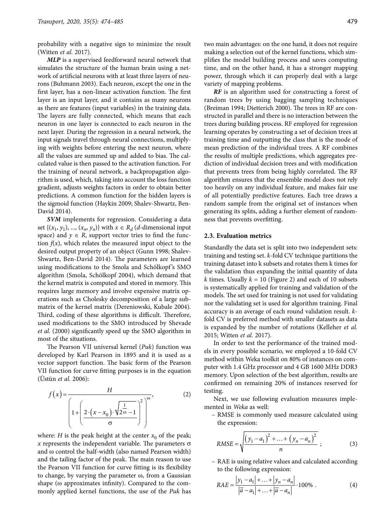probability with a negative sign to minimize the result (Witten *et al.* 2017).

*MLP* is a supervised feedforward neural network that simulates the structure of the human brain using a network of artificial neurons with at least three layers of neurons (Buhmann 2003). Each neuron, except the one in the first layer, has a non-linear activation function. The first layer is an input layer, and it contains as many neurons as there are features (input variables) in the training data. The layers are fully connected, which means that each neuron in one layer is connected to each neuron in the next layer. During the regression in a neural network, the input signals travel through neural connections, multiplying with weights before entering the next neuron, where all the values are summed up and added to bias. The calculated value is then passed to the activation function. For the training of neural network, a backpropagation algorithm is used, which, taking into account the loss function gradient, adjusts weights factors in order to obtain better predictions. A common function for the hidden layers is the sigmoid function (Haykin 2009; Shalev-Shwartz, Ben-David 2014).

*SVM* implements for regression. Considering a data set  $\{(x_1, y_1), ..., (x_n, y_n)\}\$  with  $x \in R_d$  (*d*-dimensional input space) and  $y \in R$ , support vector tries to find the function  $f(x)$ , which relates the measured input object to the desired output property of an object (Gunn 1998; Shalev-Shwartz, Ben-David 2014). The parameters are learned using modifications to the Smola and Schölkopf 's SMO algorithm (Smola, Schölkopf 2004), which demand that the kernel matrix is computed and stored in memory. This requires large memory and involve expensive matrix operations such as Cholesky decomposition of a large submatrix of the kernel matrix (Dereniowski, Kubale 2004). Third, coding of these algorithms is difficult. Therefore, used modifications to the SMO introduced by Shevade *et al.* (2000) significantly speed up the SMO algorithm in most of the situations.

The Pearson VII universal kernel (*Puk*) function was developed by Karl Pearson in 1895 and it is used as a vector support function. The basic form of the Pearson VII function for curve fitting purposes is in the equation (Üstün *et al.* 2006):

$$
f(x) = \frac{H}{\left(1 + \left(\frac{2 \cdot (x - x_0) \cdot \sqrt{\frac{1}{2\omega}} - 1}{\sigma}\right)^2\right)^{\omega}},\tag{2}
$$

where: *H* is the peak height at the center  $x_0$  of the peak; x represents the independent variable. The parameters  $\sigma$ and  $\omega$  control the half-width (also named Pearson width) and the tailing factor of the peak. The main reason to use the Pearson VII function for curve fitting is its flexibility to change, by varying the parameter  $\omega$ , from a Gaussian shape ( $\omega$  approximates infinity). Compared to the commonly applied kernel functions, the use of the *Puk* has

two main advantages: on the one hand, it does not require making a selection out of the kernel functions, which simplifies the model building process and saves computing time, and on the other hand, it has a stronger mapping power, through which it can properly deal with a large variety of mapping problems.

*RF* is an algorithm used for constructing a forest of random trees by using bagging sampling techniques (Breiman 1994; Dietterich 2000). The trees in RF are constructed in parallel and there is no interaction between the trees during building process. RF employed for regression learning operates by constructing a set of decision trees at training time and outputting the class that is the mode of mean prediction of the individual trees. A RF combines the results of multiple predictions, which aggregates prediction of individual decision trees and with modification that prevents trees from being highly correlated. The RF algorithm ensures that the ensemble model does not rely too heavily on any individual feature, and makes fair use of all potentially predictive features. Each tree draws a random sample from the original set of instances when generating its splits, adding a further element of randomness that prevents overfitting.

### **2.3. Evaluation metrics**

Standardly the data set is split into two independent sets: training and testing set. *k*-fold CV technique partitions the training dataset into k subsets and rotates them k times for the validation thus expanding the initial quantity of data *k* times. Usually  $k = 10$  (Figure 2) and each of 10 subsets is systematically applied for training and validation of the models. The set used for training is not used for validating nor the validating set is used for algorithm training. Final accuracy is an average of each round validation result. *k*fold CV is preferred method with smaller datasets as data is expanded by the number of rotations (Kelleher *et al.*  2015; Witten *et al.* 2017).

In order to test the performance of the trained models in every possible scenario, we employed a 10-fold CV method within Weka toolkit on 80% of instances on computer with 1.4 GHz processor and 4 GB 1600 MHz DDR3 memory. Upon selection of the best algorithm, results are confirmed on remaining 20% of instances reserved for testing.

Next, we use following evaluation measures implemented in *Weka* as well:

– RMSE is commonly used measure calculated using the expression:

RMSE = 
$$
\sqrt{\frac{(y_1 - a_1)^2 + ... + (y_n - a_n)^2}{n}}
$$
; (3)

– RAE is using relative values and calculated according to the following expression:

$$
RAE = \frac{|y_1 - a_1| + \dots + |y_n - a_n|}{|\overline{a} - a_1| + \dots + |\overline{a} - a_n|} \cdot 100\% \tag{4}
$$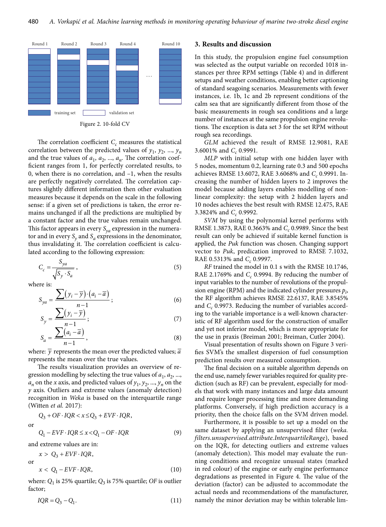

The correlation coefficient  $C_c$  measures the statistical correlation between the predicted values of  $y_1$ ,  $y_2$ , ...,  $y_n$ and the true values of  $a_1$ ,  $a_2$ , ...,  $a_n$ . The correlation coefficient ranges from 1, for perfectly correlated results, to 0, when there is no correlation, and –1, when the results are perfectly negatively correlated. The correlation captures slightly different information then other evaluation measures because it depends on the scale in the following sense: if a given set of predictions is taken, the error remains unchanged if all the predictions are multiplied by a constant factor and the true values remain unchanged. This factor appears in every  $S_{va}$  expression in the numerator and in every  $S_v$  and  $S_a$  expressions in the denominator, thus invalidating it. The correlation coefficient is calculated according to the following expression:

$$
C_c = \frac{S_{ya}}{\sqrt{S_y \cdot S_a}},\tag{5}
$$

where is:

$$
S_{ya} = \frac{\sum (y_i - \overline{y}) \cdot (a_i - \overline{a})}{n - 1};
$$
\n(6)

$$
S_y = \frac{\sum (y_i - \overline{y})}{n-1};\tag{7}
$$

$$
S_a = \frac{\sum (a_i - \overline{a})}{n - 1},\tag{8}
$$

where:  $\bar{y}$  represents the mean over the predicted values;  $\bar{a}$ represents the mean over the true values.

The results visualization provides an overview of regression modelling by selecting the true values of  $a_1, a_2, ...$ ,  $a_n$  on the *x* axis, and predicted values of  $y_1, y_2, ..., y_n$  on the *y* axis. Outliers and extreme values (anomaly detection) recognition in *Weka* is based on the interquartile range (Witten *et al.* 2017):

 $Q_3 + OF \cdot IQR < x \leq Q_3 + EVF \cdot IQR$ 

or

$$
Q_1 - EVF \cdot IQR \le x < Q_1 - OF \cdot IQR \tag{9}
$$

and extreme values are in:

$$
x > Q_3 + EVF \cdot IQR,
$$
  
or  

$$
x < Q_1 - EVF \cdot IQR,
$$
 (10)

where: *Q*1 is 25% quartile; *Q*3 is 75% quartile; *OF* is outlier factor;

$$
IQR = Q_3 - Q_1. \tag{11}
$$

## **3. Results and discussion**

In this study, the propulsion engine fuel consumption was selected as the output variable on recorded 1018 instances per three RPM settings (Table 4) and in different setups and weather conditions, enabling better captioning of standard seagoing scenarios. Measurements with fewer instances, i.e. 1b, 1c and 2b represent conditions of the calm sea that are significantly different from those of the basic measurements in rough sea conditions and a large number of instances at the same propulsion engine revolutions. The exception is data set 3 for the set RPM without rough sea recordings.

*GLM* achieved the result of RMSE 12.9081, RAE 3.6001% and *C<sub>c</sub>* 0.9991.

*MLP* with initial setup with one hidden layer with 5 nodes, momentum 0.2, learning rate 0.3 and 500 epochs achieves RMSE 13.6072, RAE 3.6068% and *C<sub>c</sub>* 0.9991. Increasing the number of hidden layers to 2 improves the model because adding layers enables modelling of nonlinear complexity: the setup with 2 hidden layers and 10 nodes achieves the best result with RMSE 12.475, RAE 3.3824% and *C<sub>c</sub>* 0.9992.

*SVM* by using the polynomial kernel performs with RMSE 1.3873, RAE 0.3663% and *C<sub>c</sub>* 0.9989. Since the best result can only be achieved if suitable kernel function is applied, the *Puk* function was chosen. Changing support vector to *Puk*, predication improved to RMSE 7.1032, RAE 0.5313% and *C<sub>c</sub>* 0.9997.

*RF* trained the model in 0.1 s with the RMSE 10.1746, RAE 2.1769% and  $C_c$  0.9994. By reducing the number of input variables to the number of revolutions of the propulsion engine (RPM) and the indicated cylinder pressures  $p_i$ , the RF algorithm achieves RMSE 22.6137, RAE 3.8545% and *C<sub>c</sub>* 0.9973. Reducing the number of variables according to the variable importance is a well-known characteristic of RF algorithm used for the construction of smaller and yet not inferior model, which is more appropriate for the use in praxis (Breiman 2001; Breiman, Cutler 2004).

Visual presentation of results shown on Figure 3 verifies SVM's the smallest dispersion of fuel consumption prediction results over measured consumption.

The final decision on a suitable algorithm depends on the end use, namely fewer variables required for quality prediction (such as RF) can be prevalent, especially for models that work with many instances and large data amount and require longer processing time and more demanding platforms. Conversely, if high prediction accuracy is a priority, then the choice falls on the SVM driven model.

Furthermore, it is possible to set up a model on the same dataset by applying an unsupervised filter (*weka. filters.unsupervised.attribute.InterquartileRange*), based on the IQR, for detecting outliers and extreme values (anomaly detection). This model may evaluate the running conditions and recognize unusual states (marked in red colour) of the engine or early engine performance degradations as presented in Figure 4. The value of the deviation (factor) can be adjusted to accommodate the actual needs and recommendations of the manufacturer, namely the minor deviation may be within tolerable lim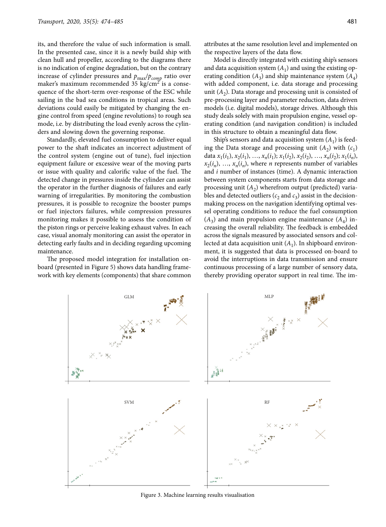its, and therefore the value of such information is small. In the presented case, since it is a newly build ship with clean hull and propeller, according to the diagrams there is no indication of engine degradation, but on the contrary increase of cylinder pressures and  $p_{\text{max}}/p_{\text{comp}}$  ratio over maker's maximum recommended 35 kg/cm<sup>2</sup> is a consequence of the short-term over-response of the ESC while sailing in the bad sea conditions in tropical areas. Such deviations could easily be mitigated by changing the engine control from speed (engine revolutions) to rough sea mode, i.e. by distributing the load evenly across the cylinders and slowing down the governing response.

Standardly, elevated fuel consumption to deliver equal power to the shaft indicates an incorrect adjustment of the control system (engine out of tune), fuel injection equipment failure or excessive wear of the moving parts or issue with quality and calorific value of the fuel. The detected change in pressures inside the cylinder can assist the operator in the further diagnosis of failures and early warning of irregularities. By monitoring the combustion pressures, it is possible to recognize the booster pumps or fuel injectors failures, while compression pressures monitoring makes it possible to assess the condition of the piston rings or perceive leaking exhaust valves. In each case, visual anomaly monitoring can assist the operator in detecting early faults and in deciding regarding upcoming maintenance.

The proposed model integration for installation onboard (presented in Figure 5) shows data handling framework with key elements (components) that share common attributes at the same resolution level and implemented on the respective layers of the data flow.

Model is directly integrated with existing ship's sensors and data acquisition system  $(A_1)$  and using the existing operating condition  $(A_3)$  and ship maintenance system  $(A_4)$ with added component, i.e. data storage and processing unit  $(A_2)$ . Data storage and processing unit is consisted of pre-processing layer and parameter reduction, data driven models (i.e. digital models), storage drives. Although this study deals solely with main propulsion engine, vessel operating condition (and navigation condition) is included in this structure to obtain a meaningful data flow.

Ship's sensors and data acquisition system  $(A_1)$  is feeding the Data storage and processing unit  $(A_2)$  with  $(c_1)$ data  $x_1(i_1), x_2(i_1), \ldots, x_n(i_1); x_1(i_2), x_2(i_2), \ldots, x_n(i_2); x_1(i_n)$  $x_2(i_n)$ , ...,  $x_n(i_n)$ , where *n* represents number of variables and *i* number of instances (time). A dynamic interaction between system components starts from data storage and processing unit  $(A_2)$  wherefrom output (predicted) variables and detected outliers ( $c_2$  and  $c_3$ ) assist in the decisionmaking process on the navigation identifying optimal vessel operating conditions to reduce the fuel consumption  $(A_3)$  and main propulsion engine maintenance  $(A_4)$  increasing the overall reliability. The feedback is embedded across the signals measured by associated sensors and collected at data acquisition unit  $(A_1)$ . In shipboard environment, it is suggested that data is processed on-board to avoid the interruptions in data transmission and ensure continuous processing of a large number of sensory data, thereby providing operator support in real time. The im-



Figure 3. Machine learning results visualisation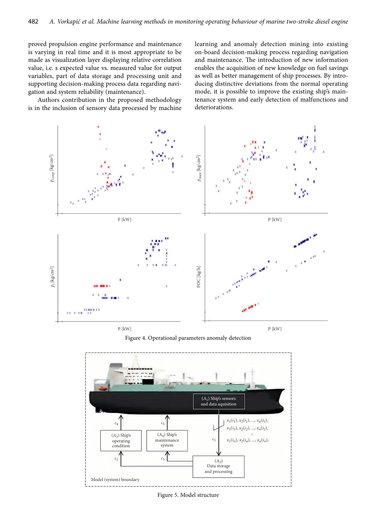proved propulsion engine performance and maintenance is varying in real time and it is most appropriate to be made as visualization layer displaying relative correlation value, i.e. s expected value vs. measured value for output variables, part of data storage and processing unit and supporting decision-making process data regarding navigation and system reliability (maintenance).

Authors contribution in the proposed methodology is in the inclusion of sensory data processed by machine learning and anomaly detection mining into existing on-board decision-making process regarding navigation and maintenance. The introduction of new information enables the acquisition of new knowledge on fuel savings as well as better management of ship processes. By introducing distinctive deviations from the normal operating mode, it is possible to improve the existing ship's maintenance system and early detection of malfunctions and deteriorations.



Figure 4. Operational parameters anomaly detection



Figure 5. Model structure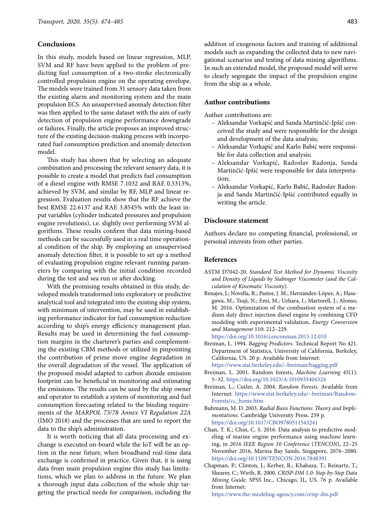## **Conclusions**

In this study, models based on linear regression, MLP, SVM and RF have been applied to the problem of predicting fuel consumption of a two-stroke electronically controlled propulsion engine on the operating envelope. The models were trained from 31 sensory data taken from the existing alarm and monitoring system and the main propulsion ECS. An unsupervised anomaly detection filter was then applied to the same dataset with the aim of early detection of propulsion engine performance downgrade or failures. Finally, the article proposes an improved structure of the existing decision-making process with incorporated fuel consumption prediction and anomaly detection model.

This study has shown that by selecting an adequate combination and processing the relevant sensory data, it is possible to create a model that predicts fuel consumption of a diesel engine with RMSE 7.1032 and RAE 0.5313%, achieved by SVM, and similar by RF, MLP and linear regression. Evaluation results show that the RF achieve the best RMSE 22.6137 and RAE 3.8545% with the least input variables (cylinder indicated pressures and propulsion engine revolutions), i.e. slightly over performing SVM algorithms. These results confirm that data mining-based methods can be successfully used in a real time operational condition of the ship. By employing an unsupervised anomaly detection filter, it is possible to set up a method of evaluating propulsion engine relevant running parameters by comparing with the initial condition recorded during the test and sea run or after docking.

With the promising results obtained in this study, developed models transformed into exploratory or predictive analytical tool and integrated into the existing ship system, with minimum of intervention, may be used in establishing performance indicator for fuel consumption reduction according to ship's energy efficiency management plan. Results may be used in determining the fuel consumption margins in the charterer's parties and complementing the existing CBM methods or utilized in pinpointing the contribution of prime move engine degradation in the overall degradation of the vessel. The application of the proposed model adapted to carbon dioxide emission footprint can be beneficial in monitoring and estimating the emissions. The results can be used by the ship owner and operator to establish a system of monitoring and fuel consumption forecasting related to the binding requirements of the *MARPOL 73*/*78 Annex VI Regulation 22A* (IMO 2018) and the processes that are used to report the data to the ship's administration.

It is worth noticing that all data processing and exchange is executed on-board while the IoT will be an option in the near future, when broadband real-time data exchange is confirmed in practice. Given that, it is using data from main propulsion engine this study has limitations, which we plan to address in the future. We plan a thorough input data collection of the whole ship targeting the practical needs for comparison, including the addition of exogenous factors and training of additional models such as expanding the collected data to new navigational scenarios and testing of data mining algorithms. In such an extended model, the proposed model will serve to clearly segregate the impact of the propulsion engine from the ship as a whole.

## **Author contributions**

Author contributions are:

- Aleksandar Vorkapić and Sanda Martinčić-Ipšić conceived the study and were responsible for the design and development of the data analysis;
- Aleksandar Vorkapić and Karlo Babić were responsible for data collection and analysis;
- Aleksandar Vorkapić, Radoslav Radonja, Sanda Martinčić-Ipšić were responsible for data interpretation;
- Aleksandar Vorkapić, Karlo Babić, Radoslav Radonja and Sanda Martinčić-Ipšić contributed equally in writing the article.

### **Disclosure statement**

Authors declare no competing financial, professional, or personal interests from other parties.

#### **References**

- ASTM D7042-20. *Standard Test Method for Dynamic Viscosity and Density of Liquids by Stabinger Viscometer* (*and the Calculation of Kinematic Viscosity*).
- Benajes, J.; Novella, R.; Pastor, J. M.; Hernández-López, A.; Hasegawa, M.; Tsuji, N.; Emi, M.; Uehara, I.; Martorell, J.; Alonso, M. 2016. Optimization of the combustion system of a medium duty direct injection diesel engine by combining CFD modeling with experimental validation, *Energy Conversion and Management* 110: 212–229.

<https://doi.org/10.1016/j.enconman.2015.12.010> Breiman, L. 1994. *Bagging Predictors*. Technical Report No 421.

Department of Statistics, University of California, Berkeley, California, US. 20 p. Available from Internet:

<https://www.stat.berkeley.edu/~breiman/bagging.pdf>

- Breiman, L. 2001. Random forests, *Machine Learning* 45(1): 5–32. <https://doi.org/10.1023/A:1010933404324>
- Breiman, L.; Cutler, A. 2004. *Random Forests*. Available from Internet: [https://www.stat.berkeley.edu/~breiman/Random-](https://www.stat.berkeley.edu/~breiman/RandomForests/cc_home.htm)[Forests/cc\\_home.htm](https://www.stat.berkeley.edu/~breiman/RandomForests/cc_home.htm)
- Buhmann, M. D. 2003. *Radial Basis Functions: Theory and Implementations*. Cambridge University Press. 259 p. <https://doi.org/10.1017/CBO9780511543241>
- Chan, T. K.; Chin, C. S. 2016. Data analysis to predictive modeling of marine engine performance using machine learning, in *2016 IEEE Region 10 Conference* (*TENCON*), 22–25 November 2016, Marina Bay Sands, Singapore, 2076–2080. <https://doi.org/10.1109/TENCON.2016.7848391>
- Chapman, P.; Clinton, J.; Kerber, R.; Khabaza, T.; Reinartz, T.; Shearer, C.; Wirth, R. 2000. *CRISP-DM 1.0: Step-by-Step Data Mining Guide*. SPSS Inc., Chicago, IL, US. 76 p. Available from Internet:

<https://www.the-modeling-agency.com/crisp-dm.pdf>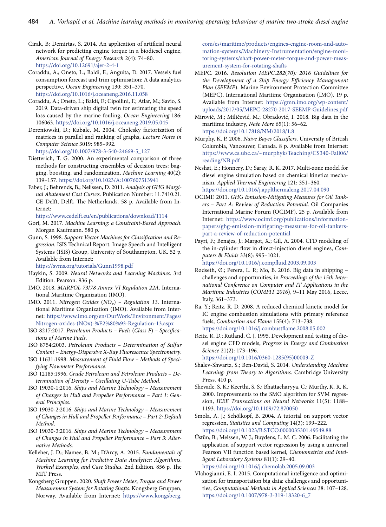- Cirak, B; Demirtas, S. 2014. An application of artificial neural network for predicting engine torque in a biodiesel engine, *American Journal of Energy Research* 2(4): 74–80. <https://doi.org/10.12691/ajer-2-4-1>
- Coraddu, A.; Oneto, L.; Baldi, F.; Anguita, D. 2017. Vessels fuel consumption forecast and trim optimisation: A data analytics perspective, *Ocean Engineering* 130: 351–370. <https://doi.org/10.1016/j.oceaneng.2016.11.058>
- Coraddu, A.; Oneto, L.; Baldi, F.; Cipollini, F.; Atlar, M.; Savio, S. 2019. Data-driven ship digital twin for estimating the speed loss caused by the marine fouling, *Ocean Engineering* 186: 106063. <https://doi.org/10.1016/j.oceaneng.2019.05.045>
- Dereniowski, D.; Kubale, M. 2004. Cholesky factorization of matrices in parallel and ranking of graphs, *Lecture Notes in Computer Science* 3019: 985–992. [https://doi.org/10.1007/978-3-540-24669-5\\_127](https://doi.org/10.1007/978-3-540-24669-5_127)
- Dietterich, T. G. 2000. An experimental comparison of three methods for constructing ensembles of decision trees: bagging, boosting, and randomization, *Machine Learning* 40(2): 139–157. <https://doi.org/10.1023/A:1007607513941>
- Faber, J.; Behrends, B.; Nelissen, D. 2011. *Analysis of GHG Marginal Abatement Cost Curves*. Publication Number: 11.7410.21. CE Delft, Delft, The Netherlands. 58 p. Available from Internet:

<https://www.cedelft.eu/en/publications/download/1114>

- Gori, M. 2017. *Machine Learning: a Constraint-Based Approach*. Morgan Kaufmann. 580 p.
- Gunn, S. 1998. *Support Vector Machines for Classification and Regression*. ISIS Technical Report. Image Speech and Intelligent Systems (ISIS) Group, University of Southampton, UK. 52 p. Available from Internet:

<https://svms.org/tutorials/Gunn1998.pdf>

- Haykin, S. 2009. *Neural Networks and Learning Machines*. 3rd Edition. Pearson. 936 p.
- IMO. 2018. *MARPOL 73*/*78 Annex VI Regulation 22A*. International Maritime Organization (IMO).
- IMO. 2011. *Nitrogen Oxides* (*NOx*) *– Regulation 13*. International Maritime Organization (IMO). Available from Internet: [https://www.imo.org/en/OurWork/Environment/Pages/](https://www.imo.org/en/OurWork/Environment/Pages/Nitrogen-oxides-(NOx)-%E2%80%93-Regulation-13.aspx) [Nitrogen-oxides-\(NOx\)-%E2%80%93-Regulation-13.aspx](https://www.imo.org/en/OurWork/Environment/Pages/Nitrogen-oxides-(NOx)-%E2%80%93-Regulation-13.aspx)
- ISO 8217:2017. *Petroleum Products Fuels* (*Class F*) *Specifications of Marine Fuels*.
- ISO 8754:2003. *Petroleum Products Determination of Sulfur Content – Energy-Dispersive X-Ray Fluorescence Spectrometry*.
- ISO 11631:1998. *Measurement of Fluid Flow Methods of Specifying Flowmeter Performance*.
- ISO 12185:1996. *Crude Petroleum and Petroleum Products Determination of Density – Oscillating U-Tube Method*.
- ISO 19030-1:2016. *Ships and Marine Technology Measurement of Changes in Hull and Propeller Performance – Part 1: General Principles*.
- ISO 19030-2:2016. *Ships and Marine Technology Measurement of Changes in Hull and Propeller Performance – Part 2: Default Method*.
- ISO 19030-3:2016. *Ships and Marine Technology Measurement of Changes in Hull and Propeller Performance – Part 3: Alternative Methods*.
- Kelleher, J. D.; Namee, B. M.; D'Arcy, A. 2015. *Fundamentals of Machine Learning for Predictive Data Analytics: Algorithms*, *Worked Examples*, *and Case Studies*. 2nd Edition. 856 p. The MIT Press.
- Kongsberg Gruppen. 2020. *Shaft Power Meter*, *Torque and Power Measurement System for Rotating Shafts*. Kongsberg Gruppen, Norway. Available from Internet: [https://www.kongsberg.](https://www.kongsberg.com/es/maritime/products/engines-engine-room-and-automation-systems/Machinery-Instrumentation/engine-monitoring-systems/shaft-power-meter-torque-and-power-measurement-system-for-rotating-shafts)

[com/es/maritime/products/engines-engine-room-and-auto](https://www.kongsberg.com/es/maritime/products/engines-engine-room-and-automation-systems/Machinery-Instrumentation/engine-monitoring-systems/shaft-power-meter-torque-and-power-measurement-system-for-rotating-shafts)[mation-systems/Machinery-Instrumentation/engine-moni](https://www.kongsberg.com/es/maritime/products/engines-engine-room-and-automation-systems/Machinery-Instrumentation/engine-monitoring-systems/shaft-power-meter-torque-and-power-measurement-system-for-rotating-shafts)[toring-systems/shaft-power-meter-torque-and-power-meas](https://www.kongsberg.com/es/maritime/products/engines-engine-room-and-automation-systems/Machinery-Instrumentation/engine-monitoring-systems/shaft-power-meter-torque-and-power-measurement-system-for-rotating-shafts)[urement-system-for-rotating-shafts](https://www.kongsberg.com/es/maritime/products/engines-engine-room-and-automation-systems/Machinery-Instrumentation/engine-monitoring-systems/shaft-power-meter-torque-and-power-measurement-system-for-rotating-shafts)

- MEPC. 2016. *Resolution MEPC.282*(*70*)*: 2016 Guidelines for the Development of a Ship Energy Efficiency Management Plan* (*SEEMP*). Marine Environment Protection Committee (MEPC), International Maritime Organization (IMO). 19 p. Available from Internet: [https://gmn.imo.org/wp-content/](https://gmn.imo.org/wp-content/uploads/2017/05/MEPC-28270-2017-SEEMP-Guidelines.pdf) [uploads/2017/05/MEPC-28270-2017-SEEMP-Guidelines.pdf](https://gmn.imo.org/wp-content/uploads/2017/05/MEPC-28270-2017-SEEMP-Guidelines.pdf)
- Mirović, M.; Miličević, M.; Obradović, I. 2018. Big data in the maritime industry, *Naše More* 65(1): 56–62. <https://doi.org/10.17818/NM/2018/1.8>
- Murphy, K. P. 2006. *Naive Bayes Classifiers*. University of British Columbia, Vancouver, Canada. 8 p. Available from Internet: [https://www.cs.ubc.ca/~murphyk/Teaching/CS340-Fall06/](https://www.cs.ubc.ca/~murphyk/Teaching/CS340-Fall06/reading/NB.pdf) [reading/NB.pdf](https://www.cs.ubc.ca/~murphyk/Teaching/CS340-Fall06/reading/NB.pdf)
- Neshat, E.; Honnery, D.; Saray, R. K. 2017. Multi-zone model for diesel engine simulation based on chemical kinetics mechanism, *Applied Thermal Engineering* 121: 351–360. <https://doi.org/10.1016/j.applthermaleng.2017.04.090>
- OCIMF. 2011. *GHG Emission-Mitigating Measures for Oil Tankers – Part A: Review of Reduction Potential*. Oil Companies International Marine Forum (OCIMF). 25 p. Available from Internet: [https://www.ocimf.org/publications/information](https://www.ocimf.org/publications/information-papers/ghg-emission-mitigating-measures-for-oil-tankers-part-a-review-of-reduction-potential)[papers/ghg-emission-mitigating-measures-for-oil-tankers](https://www.ocimf.org/publications/information-papers/ghg-emission-mitigating-measures-for-oil-tankers-part-a-review-of-reduction-potential)[part-a-review-of-reduction-potential](https://www.ocimf.org/publications/information-papers/ghg-emission-mitigating-measures-for-oil-tankers-part-a-review-of-reduction-potential)
- Payri, F.; Benajes, J.; Margot, X.; Gil, A. 2004. CFD modeling of the in-cylinder flow in direct-injection diesel engines, *Computers* & *Fluids* 33(8): 995–1021. <https://doi.org/10.1016/j.compfluid.2003.09.003>
- Rødseth, Ø.; Perera, L. P.; Mo, B. 2016. Big data in shipping challenges and opportunities, in *Proceedings of the 15th International Conference on Computer and IT Applications in the Maritime Industries* (*COMPIT 2016*), 9–11 May 2016, Lecce, Italy, 361–373.
- Ra, Y.; Reitz, R. D. 2008. A reduced chemical kinetic model for IC engine combustion simulations with primary reference fuels, *Combustion and Flame* 155(4): 713–738. <https://doi.org/10.1016/j.combustflame.2008.05.002>
- Reitz, R. D.; Rutland, C. J. 1995. Development and testing of diesel engine CFD models, *Progress in Energy and Combustion Science* 21(2): 173–196. [https://doi.org/10.1016/0360-1285\(95\)00003-Z](https://doi.org/10.1016/0360-1285(95)00003-Z)
- Shalev-Shwartz, S.; Ben-David, S. 2014. *Understanding Machine Learning: from Theory to Algorithms*. Cambridge University Press. 410 p.
- Shevade, S. K.; Keerthi, S. S.; Bhattacharyya, C.; Murthy, K. R. K. 2000. Improvements to the SMO algorithm for SVM regression, *IEEE Transactions on Neural Networks* 11(5): 1188– 1193. <https://doi.org/10.1109/72.870050>
- Smola, A. J.; Schölkopf, B. 2004. A tutorial on support vector regression, *Statistics and Computing* 14(3): 199–222. <https://doi.org/10.1023/B:STCO.0000035301.49549.88>
- Üstün, B.; Melssen, W. J.; Buydens, L. M. C. 2006. Facilitating the application of support vector regression by using a universal Pearson VII function based kernel, *Chemometrics and Intelligent Laboratory Systems* 81(1): 29–40. <https://doi.org/10.1016/j.chemolab.2005.09.003>
- Vlahogianni, E. I. 2015. Computational intelligence and optimization for transportation big data: challenges and opportunities, *Computational Methods in Applied Sciences* 38: 107–128. [https://doi.org/10.1007/978-3-319-18320-6\\_7](https://doi.org/10.1007/978-3-319-18320-6_7)